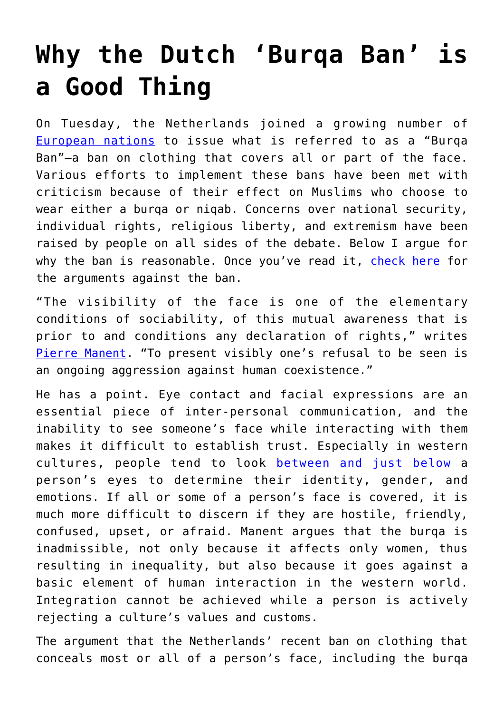## **[Why the Dutch 'Burqa Ban' is](https://intellectualtakeout.org/2018/06/why-the-dutch-burqa-ban-is-a-good-thing/) [a Good Thing](https://intellectualtakeout.org/2018/06/why-the-dutch-burqa-ban-is-a-good-thing/)**

On Tuesday, the Netherlands joined a growing number of [European nations](https://www.bbc.com/news/world-europe-13038095) to issue what is referred to as a "Burqa Ban"—a ban on clothing that covers all or part of the face. Various efforts to implement these bans have been met with criticism because of their effect on Muslims who choose to wear either a burqa or niqab. Concerns over national security, individual rights, religious liberty, and extremism have been raised by people on all sides of the debate. Below I argue for why the ban is reasonable. Once you've read it, [check here](https://www.intellectualtakeout.org/article/ban-burqas-dont-be-too-hasty) for the arguments against the ban.

"The visibility of the face is one of the elementary conditions of sociability, of this mutual awareness that is prior to and conditions any declaration of rights," writes [Pierre Manent](https://www.amazon.com/gp/search/ref=as_li_qf_sp_sr_il_tl?ie=UTF8&tag=intelltakeo0d-20&keywords=Beyond%20radical%20secularism&index=aps&camp=1789&creative=9325&linkCode=xm2&linkId=9710626ed6825241b4a5df3f69887bc7). "To present visibly one's refusal to be seen is an ongoing aggression against human coexistence."

He has a point. Eye contact and facial expressions are an essential piece of inter-personal communication, and the inability to see someone's face while interacting with them makes it difficult to establish trust. Especially in western cultures, people tend to look [between and just below](https://theconversation.com/face-value-where-to-look-when-you-want-to-read-someone-11219) a person's eyes to determine their identity, gender, and emotions. If all or some of a person's face is covered, it is much more difficult to discern if they are hostile, friendly, confused, upset, or afraid. Manent argues that the burqa is inadmissible, not only because it affects only women, thus resulting in inequality, but also because it goes against a basic element of human interaction in the western world. Integration cannot be achieved while a person is actively rejecting a culture's values and customs.

The argument that the Netherlands' recent ban on clothing that conceals most or all of a person's face, including the burqa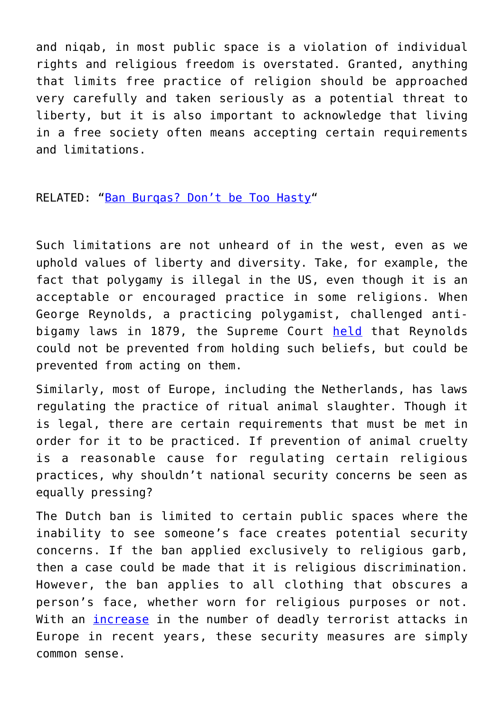and niqab, in most public space is a violation of individual rights and religious freedom is overstated. Granted, anything that limits free practice of religion should be approached very carefully and taken seriously as a potential threat to liberty, but it is also important to acknowledge that living in a free society often means accepting certain requirements and limitations.

RELATED: "[Ban Burqas? Don't be Too Hasty"](https://www.intellectualtakeout.org/article/ban-burqas-dont-be-too-hasty)

Such limitations are not unheard of in the west, even as we uphold values of liberty and diversity. Take, for example, the fact that polygamy is illegal in the US, even though it is an acceptable or encouraged practice in some religions. When George Reynolds, a practicing polygamist, challenged antibigamy laws in 1879, the Supreme Court [held](https://www.oyez.org/cases/1850-1900/98us145) that Reynolds could not be prevented from holding such beliefs, but could be prevented from acting on them.

Similarly, most of Europe, including the Netherlands, has laws regulating the practice of ritual animal slaughter. Though it is legal, there are certain requirements that must be met in order for it to be practiced. If prevention of animal cruelty is a reasonable cause for regulating certain religious practices, why shouldn't national security concerns be seen as equally pressing?

The Dutch ban is limited to certain public spaces where the inability to see someone's face creates potential security concerns. If the ban applied exclusively to religious garb, then a case could be made that it is religious discrimination. However, the ban applies to all clothing that obscures a person's face, whether worn for religious purposes or not. With an [increase](https://www.reuters.com/article/us-europe-attacks/number-of-fatal-terrorist-attacks-in-western-europe-increasing-data-show-idUSKBN19X1QO) in the number of deadly terrorist attacks in Europe in recent years, these security measures are simply common sense.